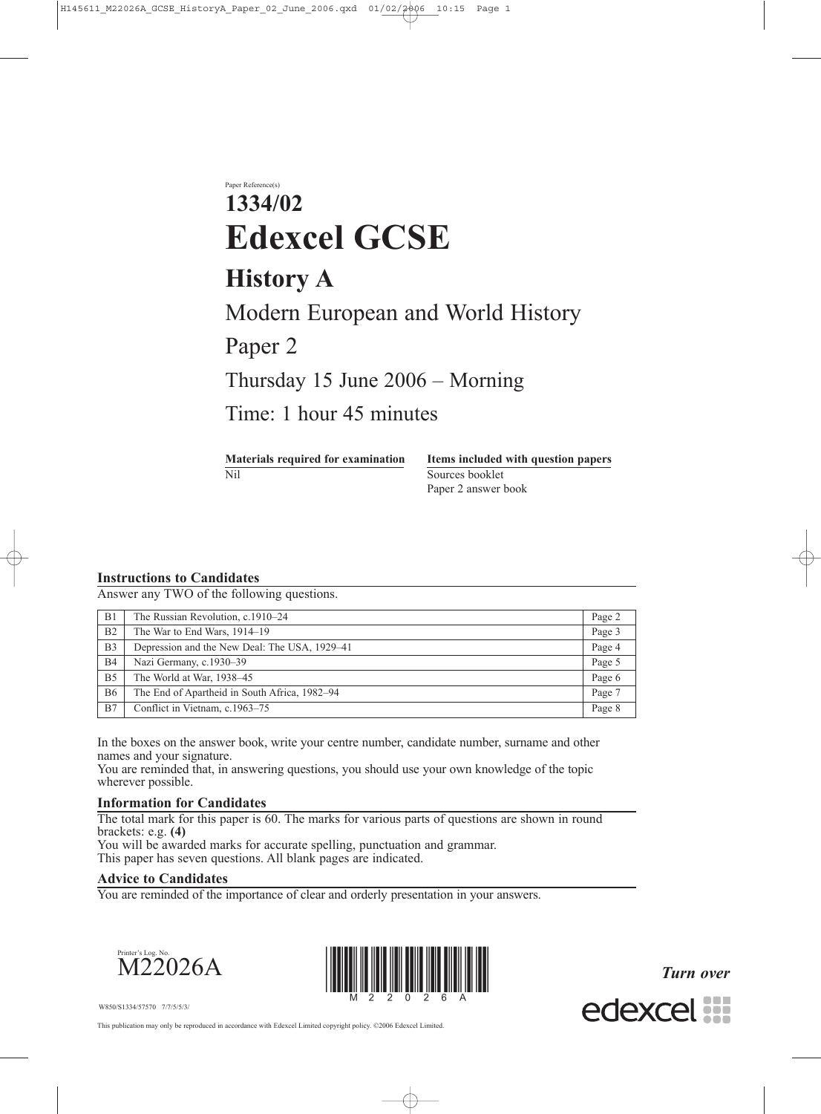Paper Reference(s)

# **1334/02 Edexcel GCSE**

# **History A**

Modern European and World History

Paper 2

Thursday 15 June 2006 – Morning

Time: 1 hour 45 minutes

Nil Sources booklet

**Materials required for examination Items included with question papers** Paper 2 answer book

# **Instructions to Candidates**

Answer any TWO of the following questions.

| B <sub>1</sub> | The Russian Revolution, c.1910-24             | Page 2 |
|----------------|-----------------------------------------------|--------|
| B <sub>2</sub> | The War to End Wars, 1914–19                  | Page 3 |
| B <sub>3</sub> | Depression and the New Deal: The USA, 1929–41 | Page 4 |
| <b>B4</b>      | Nazi Germany, c.1930–39                       | Page 5 |
| B <sub>5</sub> | The World at War, 1938–45                     | Page 6 |
| <b>B6</b>      | The End of Apartheid in South Africa, 1982–94 | Page 7 |
| B7             | Conflict in Vietnam, c.1963–75                | Page 8 |

In the boxes on the answer book, write your centre number, candidate number, surname and other names and your signature.

You are reminded that, in answering questions, you should use your own knowledge of the topic wherever possible.

# **Information for Candidates**

The total mark for this paper is 60. The marks for various parts of questions are shown in round brackets: e.g. **(4)** You will be awarded marks for accurate spelling, punctuation and grammar.

This paper has seven questions. All blank pages are indicated.

#### **Advice to Candidates**

You are reminded of the importance of clear and orderly presentation in your answers.





*Turn over*



W850/S1334/57570 7/7/5/5/3/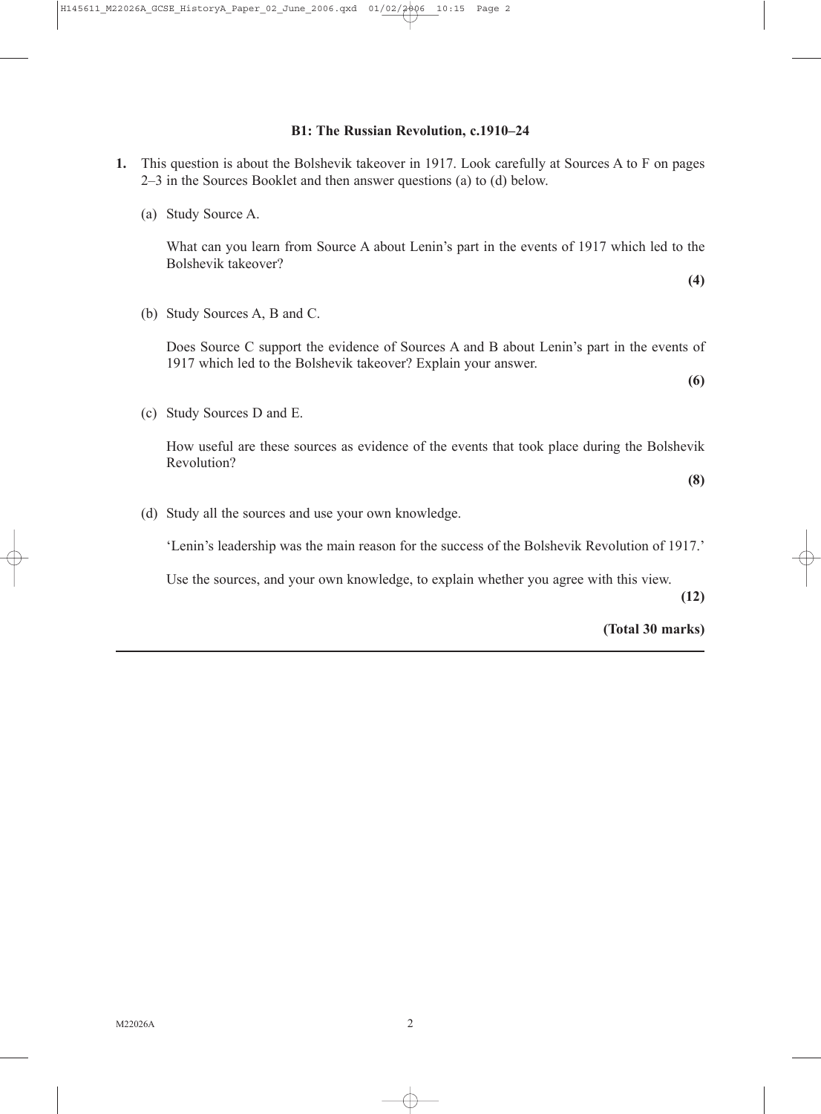#### **B1: The Russian Revolution, c.1910–24**

- **1.** This question is about the Bolshevik takeover in 1917. Look carefully at Sources A to F on pages 2–3 in the Sources Booklet and then answer questions (a) to (d) below.
	- (a) Study Source A.

What can you learn from Source A about Lenin's part in the events of 1917 which led to the Bolshevik takeover?

**(4)**

(b) Study Sources A, B and C.

Does Source C support the evidence of Sources A and B about Lenin's part in the events of 1917 which led to the Bolshevik takeover? Explain your answer.

**(6)**

(c) Study Sources D and E.

How useful are these sources as evidence of the events that took place during the Bolshevik Revolution?

**(8)**

(d) Study all the sources and use your own knowledge.

'Lenin's leadership was the main reason for the success of the Bolshevik Revolution of 1917.'

Use the sources, and your own knowledge, to explain whether you agree with this view.

**(12)**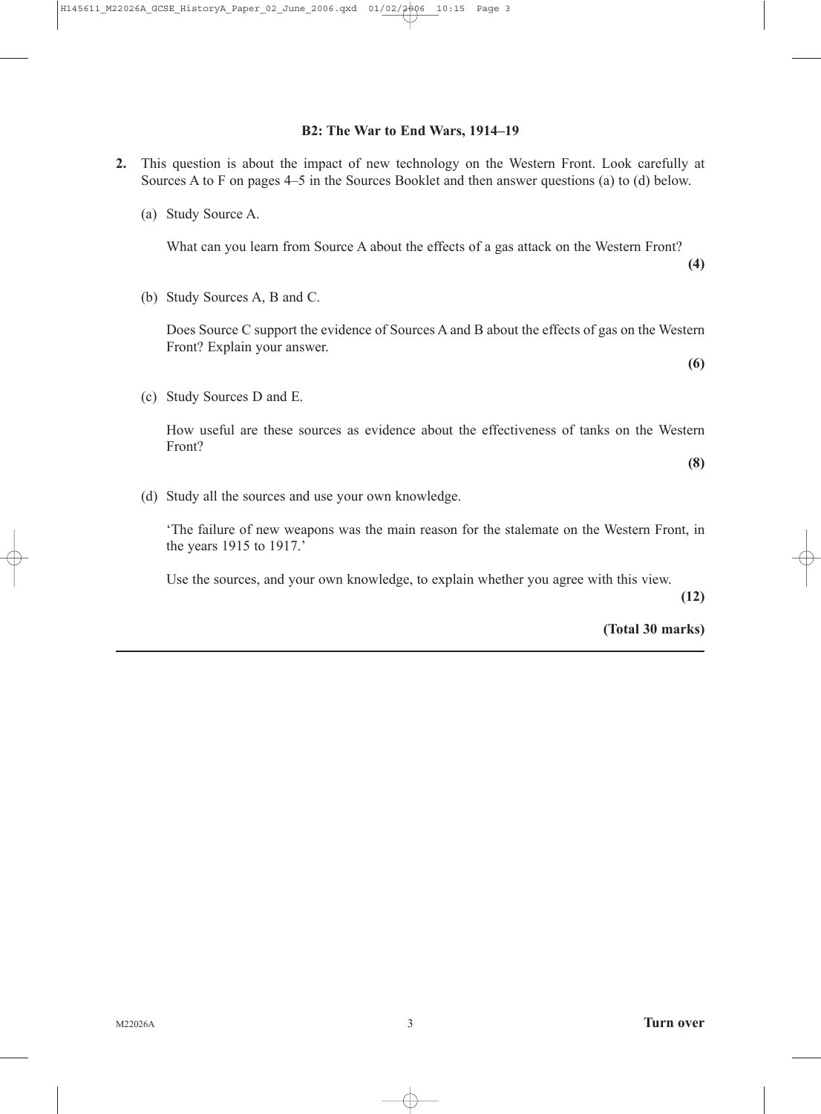#### **B2: The War to End Wars, 1914–19**

- **2.** This question is about the impact of new technology on the Western Front. Look carefully at Sources A to F on pages 4–5 in the Sources Booklet and then answer questions (a) to (d) below.
	- (a) Study Source A.

What can you learn from Source A about the effects of a gas attack on the Western Front?

(b) Study Sources A, B and C.

Does Source C support the evidence of Sources A and B about the effects of gas on the Western Front? Explain your answer.

(c) Study Sources D and E.

How useful are these sources as evidence about the effectiveness of tanks on the Western Front?

**(8)**

**(4)**

**(6)**

(d) Study all the sources and use your own knowledge.

'The failure of new weapons was the main reason for the stalemate on the Western Front, in the years 1915 to 1917.'

Use the sources, and your own knowledge, to explain whether you agree with this view.

**(12)**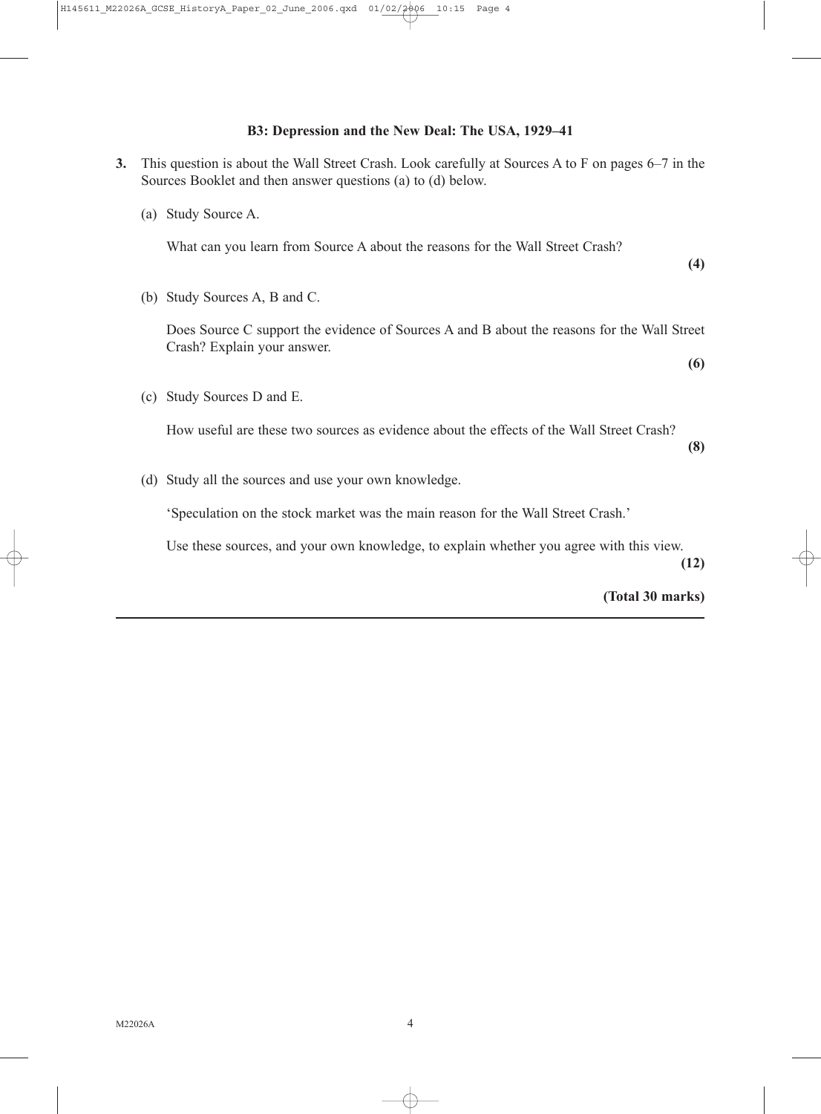# **B3: Depression and the New Deal: The USA, 1929–41**

- **3.** This question is about the Wall Street Crash. Look carefully at Sources A to F on pages 6–7 in the Sources Booklet and then answer questions (a) to (d) below.
	- (a) Study Source A.

What can you learn from Source A about the reasons for the Wall Street Crash?

**(4)**

(b) Study Sources A, B and C.

Does Source C support the evidence of Sources A and B about the reasons for the Wall Street Crash? Explain your answer.

**(6)**

(c) Study Sources D and E.

How useful are these two sources as evidence about the effects of the Wall Street Crash?

**(8)**

(d) Study all the sources and use your own knowledge.

'Speculation on the stock market was the main reason for the Wall Street Crash.'

Use these sources, and your own knowledge, to explain whether you agree with this view.

**(12)**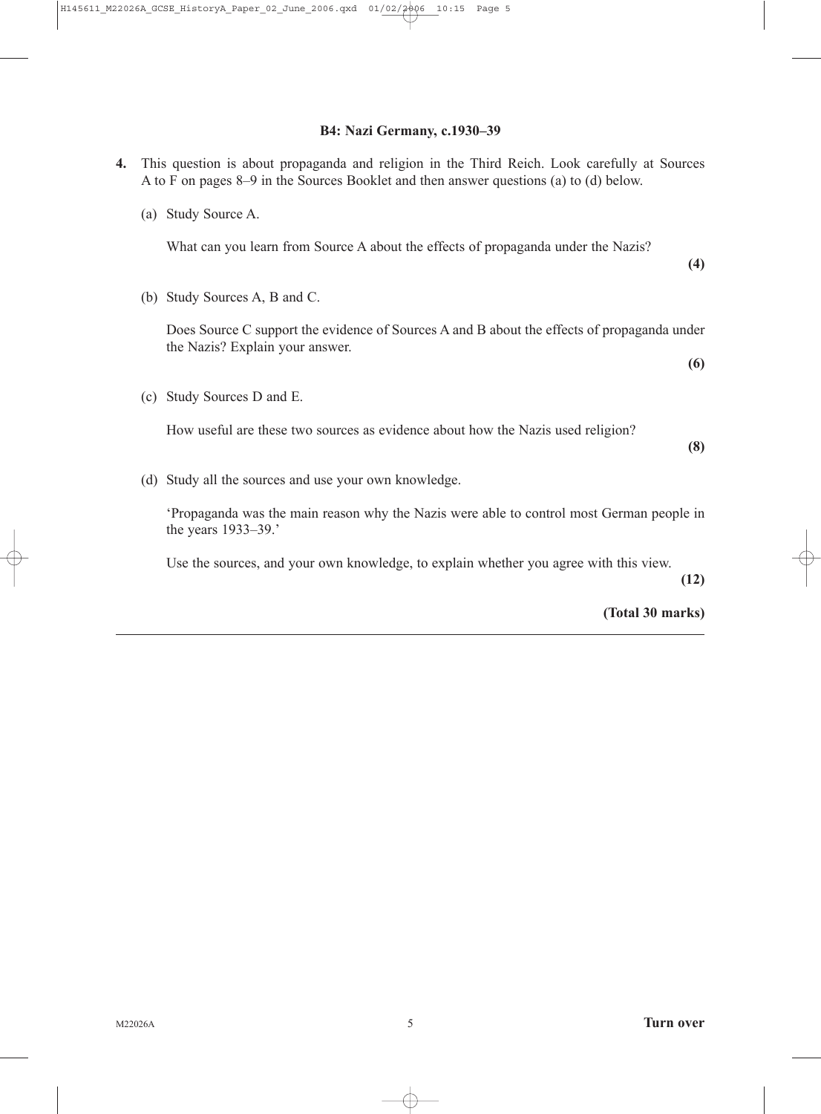#### **B4: Nazi Germany, c.1930–39**

- **4.** This question is about propaganda and religion in the Third Reich. Look carefully at Sources A to F on pages 8–9 in the Sources Booklet and then answer questions (a) to (d) below.
	- (a) Study Source A.

What can you learn from Source A about the effects of propaganda under the Nazis?

(b) Study Sources A, B and C.

Does Source C support the evidence of Sources A and B about the effects of propaganda under the Nazis? Explain your answer.

**(6)**

(c) Study Sources D and E.

How useful are these two sources as evidence about how the Nazis used religion?

**(8)**

**(4)**

(d) Study all the sources and use your own knowledge.

'Propaganda was the main reason why the Nazis were able to control most German people in the years 1933–39.'

Use the sources, and your own knowledge, to explain whether you agree with this view.

**(12)**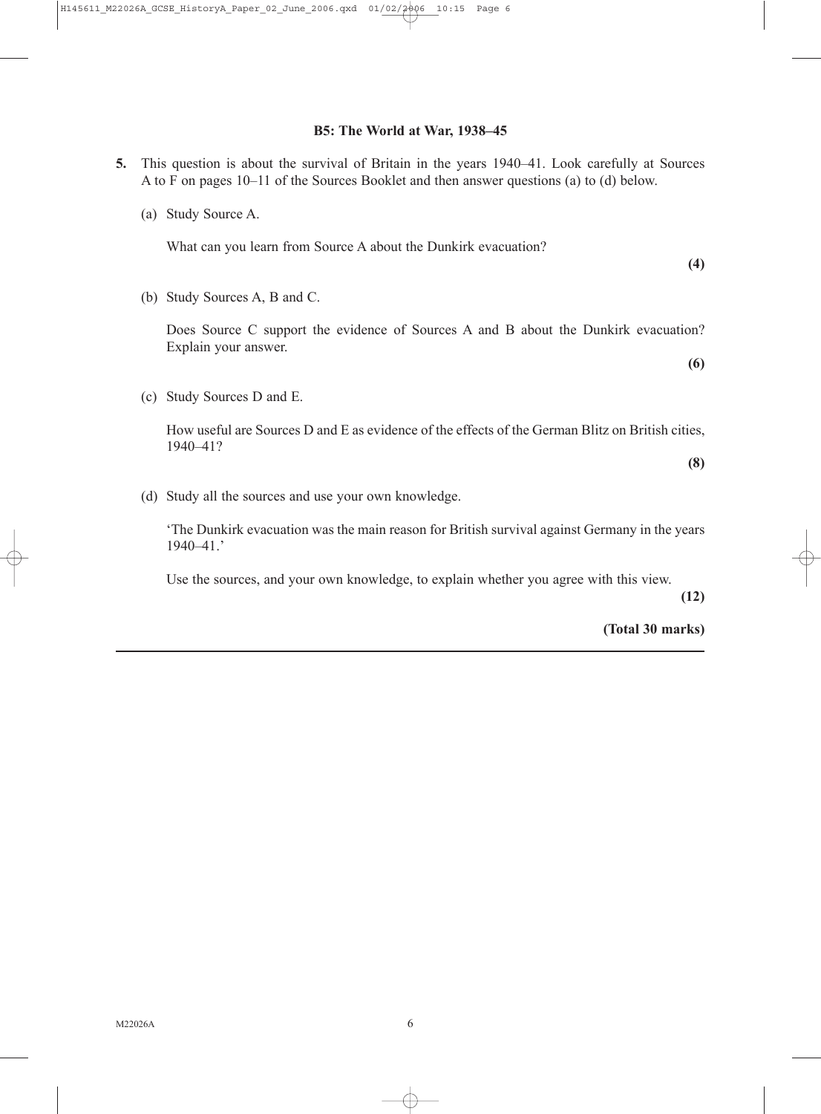#### **B5: The World at War, 1938–45**

- **5.** This question is about the survival of Britain in the years 1940–41. Look carefully at Sources A to F on pages 10–11 of the Sources Booklet and then answer questions (a) to (d) below.
	- (a) Study Source A.

What can you learn from Source A about the Dunkirk evacuation?

**(4)**

(b) Study Sources A, B and C.

Does Source C support the evidence of Sources A and B about the Dunkirk evacuation? Explain your answer.

(c) Study Sources D and E.

How useful are Sources D and E as evidence of the effects of the German Blitz on British cities, 1940–41?

**(8)**

**(6)**

(d) Study all the sources and use your own knowledge.

'The Dunkirk evacuation was the main reason for British survival against Germany in the years 1940–41.'

Use the sources, and your own knowledge, to explain whether you agree with this view.

**(12)**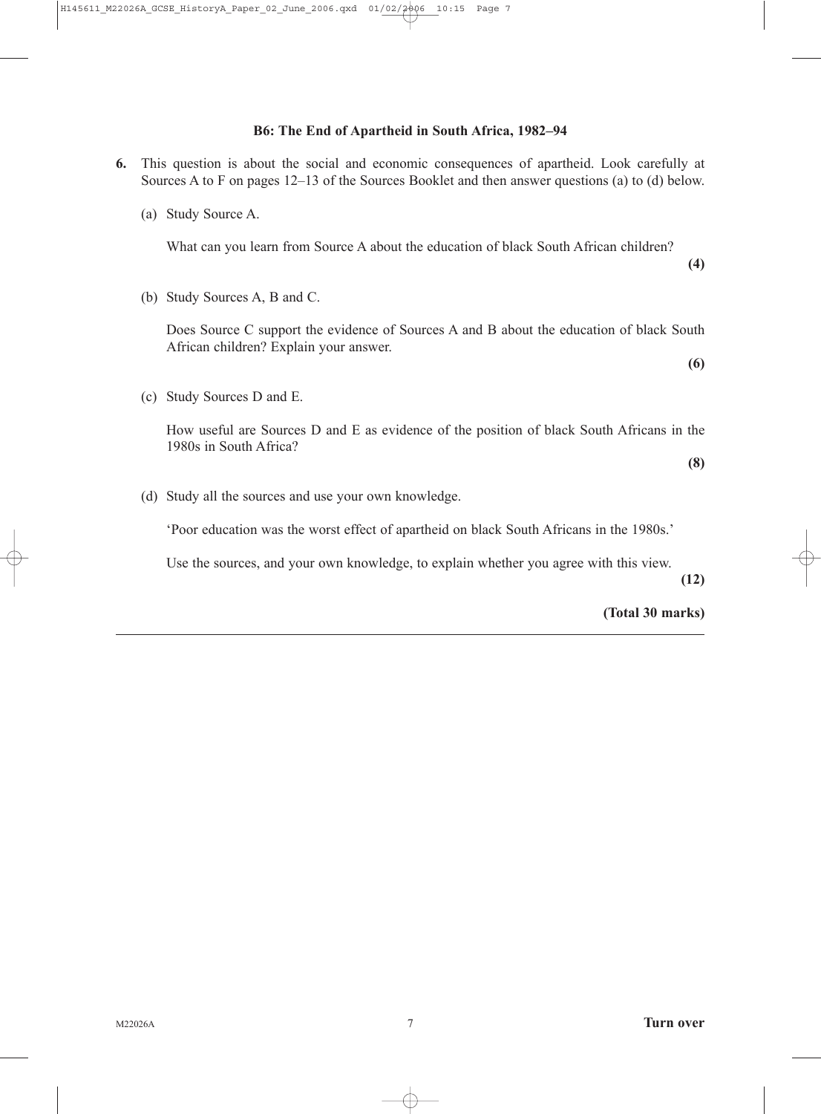# **B6: The End of Apartheid in South Africa, 1982–94**

- **6.** This question is about the social and economic consequences of apartheid. Look carefully at Sources A to F on pages 12–13 of the Sources Booklet and then answer questions (a) to (d) below.
	- (a) Study Source A.

What can you learn from Source A about the education of black South African children?

(b) Study Sources A, B and C.

Does Source C support the evidence of Sources A and B about the education of black South African children? Explain your answer.

(c) Study Sources D and E.

How useful are Sources D and E as evidence of the position of black South Africans in the 1980s in South Africa?

**(8)**

**(4)**

**(6)**

(d) Study all the sources and use your own knowledge.

'Poor education was the worst effect of apartheid on black South Africans in the 1980s.'

Use the sources, and your own knowledge, to explain whether you agree with this view.

**(12)**